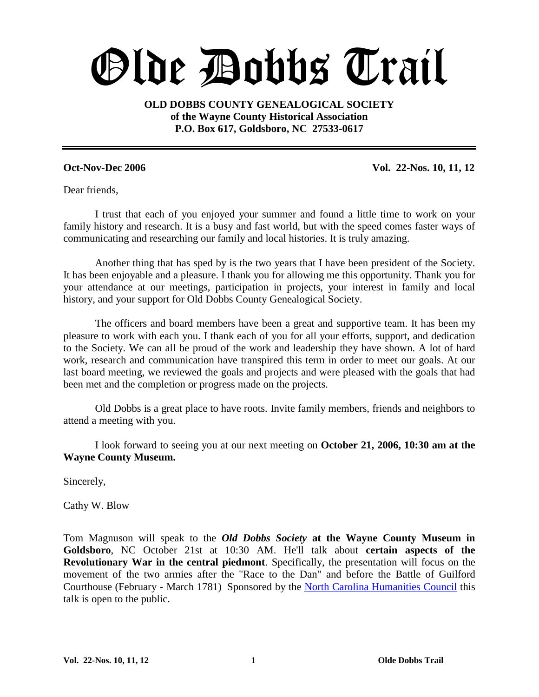# Olde Dobbs Trail

**OLD DOBBS COUNTY GENEALOGICAL SOCIETY of the Wayne County Historical Association P.O. Box 617, Goldsboro, NC 27533-0617**

**Oct-Nov-Dec 2006 Vol. 22-Nos. 10, 11, 12**

Dear friends,

I trust that each of you enjoyed your summer and found a little time to work on your family history and research. It is a busy and fast world, but with the speed comes faster ways of communicating and researching our family and local histories. It is truly amazing.

Another thing that has sped by is the two years that I have been president of the Society. It has been enjoyable and a pleasure. I thank you for allowing me this opportunity. Thank you for your attendance at our meetings, participation in projects, your interest in family and local history, and your support for Old Dobbs County Genealogical Society.

The officers and board members have been a great and supportive team. It has been my pleasure to work with each you. I thank each of you for all your efforts, support, and dedication to the Society. We can all be proud of the work and leadership they have shown. A lot of hard work, research and communication have transpired this term in order to meet our goals. At our last board meeting, we reviewed the goals and projects and were pleased with the goals that had been met and the completion or progress made on the projects.

Old Dobbs is a great place to have roots. Invite family members, friends and neighbors to attend a meeting with you.

I look forward to seeing you at our next meeting on **October 21, 2006, 10:30 am at the Wayne County Museum.**

Sincerely,

Cathy W. Blow

Tom Magnuson will speak to the *Old Dobbs Society* **at the Wayne County Museum in Goldsboro**, NC October 21st at 10:30 AM. He'll talk about **certain aspects of the Revolutionary War in the central piedmont**. Specifically, the presentation will focus on the movement of the two armies after the "Race to the Dan" and before the Battle of Guilford Courthouse (February - March 1781) Sponsored by the North Carolina Humanities Council this talk is open to the public.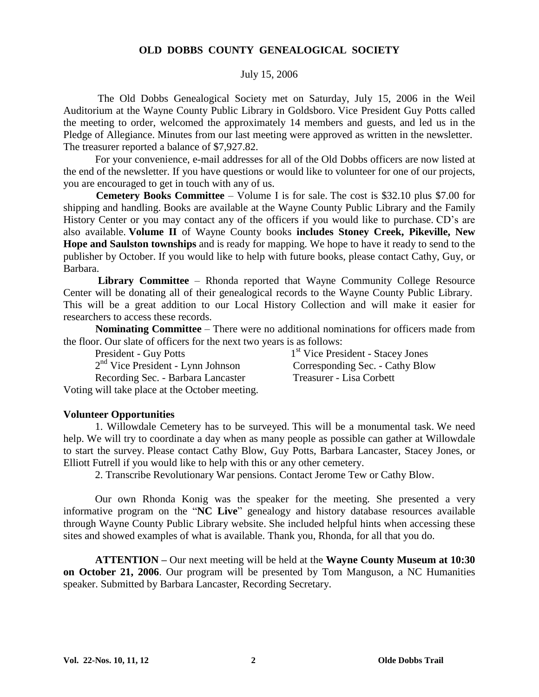#### **OLD DOBBS COUNTY GENEALOGICAL SOCIETY**

#### July 15, 2006

The Old Dobbs Genealogical Society met on Saturday, July 15, 2006 in the Weil Auditorium at the Wayne County Public Library in Goldsboro. Vice President Guy Potts called the meeting to order, welcomed the approximately 14 members and guests, and led us in the Pledge of Allegiance. Minutes from our last meeting were approved as written in the newsletter. The treasurer reported a balance of \$7,927.82.

For your convenience, e-mail addresses for all of the Old Dobbs officers are now listed at the end of the newsletter. If you have questions or would like to volunteer for one of our projects, you are encouraged to get in touch with any of us.

**Cemetery Books Committee** – Volume I is for sale. The cost is \$32.10 plus \$7.00 for shipping and handling. Books are available at the Wayne County Public Library and the Family History Center or you may contact any of the officers if you would like to purchase. CD's are also available. **Volume II** of Wayne County books **includes Stoney Creek, Pikeville, New Hope and Saulston townships** and is ready for mapping. We hope to have it ready to send to the publisher by October. If you would like to help with future books, please contact Cathy, Guy, or Barbara.

**Library Committee** – Rhonda reported that Wayne Community College Resource Center will be donating all of their genealogical records to the Wayne County Public Library. This will be a great addition to our Local History Collection and will make it easier for researchers to access these records.

**Nominating Committee** – There were no additional nominations for officers made from the floor. Our slate of officers for the next two years is as follows:

President - Guy Potts 1 2 nd Vice President - Lynn Johnson Corresponding Sec. - Cathy Blow Recording Sec. - Barbara Lancaster Treasurer - Lisa Corbett

1<sup>st</sup> Vice President - Stacey Jones

Voting will take place at the October meeting.

#### **Volunteer Opportunities**

1. Willowdale Cemetery has to be surveyed. This will be a monumental task. We need help. We will try to coordinate a day when as many people as possible can gather at Willowdale to start the survey. Please contact Cathy Blow, Guy Potts, Barbara Lancaster, Stacey Jones, or Elliott Futrell if you would like to help with this or any other cemetery.

2. Transcribe Revolutionary War pensions. Contact Jerome Tew or Cathy Blow.

Our own Rhonda Konig was the speaker for the meeting. She presented a very informative program on the "NC Live" genealogy and history database resources available through Wayne County Public Library website. She included helpful hints when accessing these sites and showed examples of what is available. Thank you, Rhonda, for all that you do.

**ATTENTION –**Our next meeting will be held at the **Wayne County Museum at 10:30 on October 21, 2006**. Our program will be presented by Tom Manguson, a NC Humanities speaker. Submitted by Barbara Lancaster, Recording Secretary.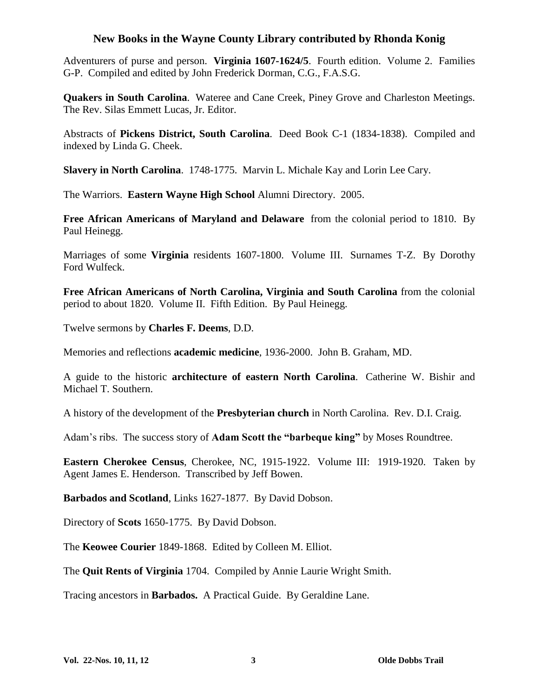#### **New Books in the Wayne County Library contributed by Rhonda Konig**

Adventurers of purse and person. **Virginia 1607-1624/5**. Fourth edition. Volume 2. Families G-P. Compiled and edited by John Frederick Dorman, C.G., F.A.S.G.

**Quakers in South Carolina**. Wateree and Cane Creek, Piney Grove and Charleston Meetings. The Rev. Silas Emmett Lucas, Jr. Editor.

Abstracts of **Pickens District, South Carolina**. Deed Book C-1 (1834-1838). Compiled and indexed by Linda G. Cheek.

**Slavery in North Carolina**. 1748-1775. Marvin L. Michale Kay and Lorin Lee Cary.

The Warriors. **Eastern Wayne High School** Alumni Directory. 2005.

**Free African Americans of Maryland and Delaware** from the colonial period to 1810. By Paul Heinegg.

Marriages of some **Virginia** residents 1607-1800. Volume III. Surnames T-Z. By Dorothy Ford Wulfeck.

**Free African Americans of North Carolina, Virginia and South Carolina** from the colonial period to about 1820. Volume II. Fifth Edition. By Paul Heinegg.

Twelve sermons by **Charles F. Deems**, D.D.

Memories and reflections **academic medicine**, 1936-2000. John B. Graham, MD.

A guide to the historic **architecture of eastern North Carolina**. Catherine W. Bishir and Michael T. Southern.

A history of the development of the **Presbyterian church** in North Carolina. Rev. D.I. Craig.

Adam's ribs. The success story of **Adam Scott the "barbeque king"** by Moses Roundtree.

**Eastern Cherokee Census**, Cherokee, NC, 1915-1922. Volume III: 1919-1920. Taken by Agent James E. Henderson. Transcribed by Jeff Bowen.

**Barbados and Scotland**, Links 1627-1877. By David Dobson.

Directory of **Scots** 1650-1775. By David Dobson.

The **Keowee Courier** 1849-1868. Edited by Colleen M. Elliot.

The **Quit Rents of Virginia** 1704. Compiled by Annie Laurie Wright Smith.

Tracing ancestors in **Barbados.** A Practical Guide. By Geraldine Lane.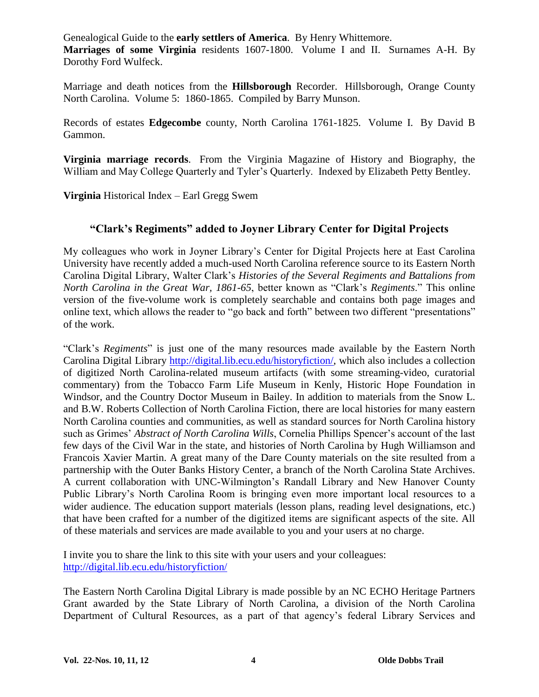Genealogical Guide to the **early settlers of America**. By Henry Whittemore. **Marriages of some Virginia** residents 1607-1800. Volume I and II. Surnames A-H. By Dorothy Ford Wulfeck.

Marriage and death notices from the **Hillsborough** Recorder. Hillsborough, Orange County North Carolina. Volume 5: 1860-1865. Compiled by Barry Munson.

Records of estates **Edgecombe** county, North Carolina 1761-1825. Volume I. By David B Gammon.

**Virginia marriage records**. From the Virginia Magazine of History and Biography, the William and May College Quarterly and Tyler's Quarterly. Indexed by Elizabeth Petty Bentley.

**Virginia** Historical Index – Earl Gregg Swem

#### **"Clark'sRegiments"addedtoJoynerLibraryCenterforDigitalProjects**

My colleagues who work in Joyner Library's Center for Digital Projects here at East Carolina University have recently added a much-used North Carolina reference source to its Eastern North CarolinaDigitalLibrary,WalterClark's*Histories of the Several Regiments and Battalions from North Carolina in the Great War, 1861-65*, better known as "Clark's *Regiments*." This online version of the five-volume work is completely searchable and contains both page images and online text, which allows the reader to "go back and forth" between two different "presentations" of the work.

"Clark's*Regiments*"is just one of the many resources made available by the Eastern North Carolina Digital Library http://digital.lib.ecu.edu/historyfiction/, which also includes a collection of digitized North Carolina-related museum artifacts (with some streaming-video, curatorial commentary) from the Tobacco Farm Life Museum in Kenly, Historic Hope Foundation in Windsor, and the Country Doctor Museum in Bailey. In addition to materials from the Snow L. and B.W. Roberts Collection of North Carolina Fiction, there are local histories for many eastern North Carolina counties and communities, as well as standard sources for North Carolina history such as Grimes' *Abstract of North Carolina Wills*, Cornelia Phillips Spencer's account of the last few days of the Civil War in the state, and histories of North Carolina by Hugh Williamson and Francois Xavier Martin. A great many of the Dare County materials on the site resulted from a partnership with the Outer Banks History Center, a branch of the North Carolina State Archives. A current collaboration with UNC-Wilmington's Randall Library and New Hanover County Public Library's North Carolina Room is bringing even more important local resources to a wider audience. The education support materials (lesson plans, reading level designations, etc.) that have been crafted for a number of the digitized items are significant aspects of the site. All of these materials and services are made available to you and your users at no charge.

I invite you to share the link to this site with your users and your colleagues: http://digital.lib.ecu.edu/historyfiction/

The Eastern North Carolina Digital Library is made possible by an NC ECHO Heritage Partners Grant awarded by the State Library of North Carolina, a division of the North Carolina Department of Cultural Resources, as a part of that agency's federal Library Services and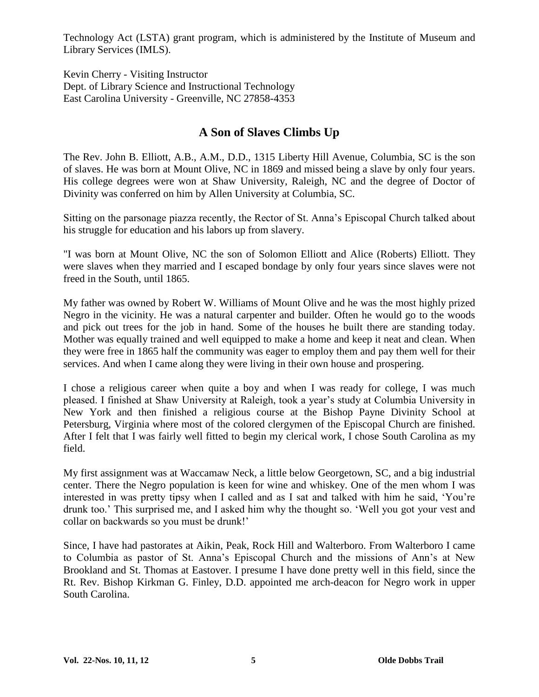Technology Act (LSTA) grant program, which is administered by the Institute of Museum and Library Services (IMLS).

Kevin Cherry - Visiting Instructor Dept. of Library Science and Instructional Technology East Carolina University - Greenville, NC 27858-4353

#### **A Son of Slaves Climbs Up**

The Rev. John B. Elliott, A.B., A.M., D.D., 1315 Liberty Hill Avenue, Columbia, SC is the son of slaves. He was born at Mount Olive, NC in 1869 and missed being a slave by only four years. His college degrees were won at Shaw University, Raleigh, NC and the degree of Doctor of Divinity was conferred on him by Allen University at Columbia, SC.

Sitting on the parsonage piazza recently, the Rector of St. Anna's Episcopal Church talked about his struggle for education and his labors up from slavery.

"I was born at Mount Olive, NC the son of Solomon Elliott and Alice (Roberts) Elliott. They were slaves when they married and I escaped bondage by only four years since slaves were not freed in the South, until 1865.

My father was owned by Robert W. Williams of Mount Olive and he was the most highly prized Negro in the vicinity. He was a natural carpenter and builder. Often he would go to the woods and pick out trees for the job in hand. Some of the houses he built there are standing today. Mother was equally trained and well equipped to make a home and keep it neat and clean. When they were free in 1865 half the community was eager to employ them and pay them well for their services. And when I came along they were living in their own house and prospering.

I chose a religious career when quite a boy and when I was ready for college, I was much pleased. I finished at Shaw University at Raleigh, took a year's study at Columbia University in New York and then finished a religious course at the Bishop Payne Divinity School at Petersburg, Virginia where most of the colored clergymen of the Episcopal Church are finished. After I felt that I was fairly well fitted to begin my clerical work, I chose South Carolina as my field.

My first assignment was at Waccamaw Neck, a little below Georgetown, SC, and a big industrial center. There the Negro population is keen for wine and whiskey. One of the men whom I was interested in was pretty tipsy when I called and as I sat and talked with him he said, 'You're drunk too.' This surprised me, and I asked him why the thought so. 'Well you got your vest and collar on backwards so you must be drunk!'

Since, I have had pastorates at Aikin, Peak, Rock Hill and Walterboro. From Walterboro I came to Columbia as pastor of St. Anna's Episcopal Church and the missions of Ann's at New Brookland and St. Thomas at Eastover. I presume I have done pretty well in this field, since the Rt. Rev. Bishop Kirkman G. Finley, D.D. appointed me arch-deacon for Negro work in upper South Carolina.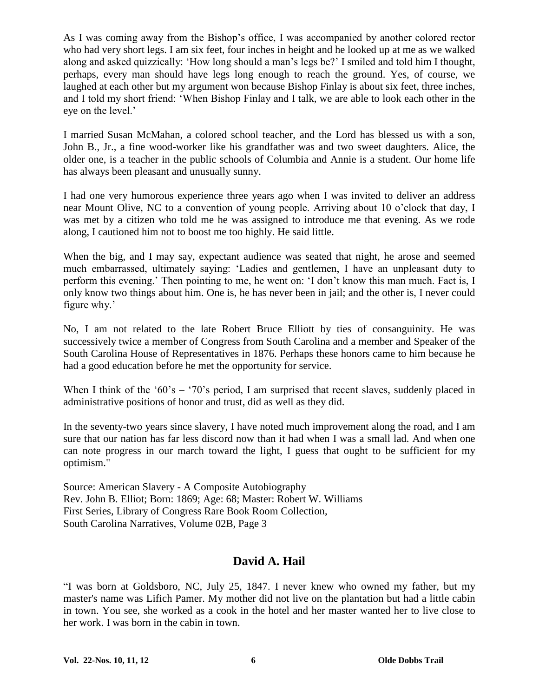As I was coming away from the Bishop's office, I was accompanied by another colored rector who had very short legs. I am six feet, four inches in height and he looked up at me as we walked along and asked quizzically: 'How long should a man's legs be?' I smiled and told him I thought, perhaps, every man should have legs long enough to reach the ground. Yes, of course, we laughed at each other but my argument won because Bishop Finlay is about six feet, three inches, and I told my short friend: 'When Bishop Finlay and I talk, we are able to look each other in the eye on the level.'

I married Susan McMahan, a colored school teacher, and the Lord has blessed us with a son, John B., Jr., a fine wood-worker like his grandfather was and two sweet daughters. Alice, the older one, is a teacher in the public schools of Columbia and Annie is a student. Our home life has always been pleasant and unusually sunny.

I had one very humorous experience three years ago when I was invited to deliver an address near Mount Olive, NC to a convention of young people. Arriving about 10 o'clock that day, I was met by a citizen who told me he was assigned to introduce me that evening. As we rode along, I cautioned him not to boost me too highly. He said little.

When the big, and I may say, expectant audience was seated that night, he arose and seemed much embarrassed, ultimately saying: 'Ladies and gentlemen, I have an unpleasant duty to perform this evening.' Then pointing to me, he went on: 'I don't know this man much. Fact is, I only know two things about him. One is, he has never been in jail; and the other is, I never could figure why.'

No, I am not related to the late Robert Bruce Elliott by ties of consanguinity. He was successively twice a member of Congress from South Carolina and a member and Speaker of the South Carolina House of Representatives in 1876. Perhaps these honors came to him because he had a good education before he met the opportunity for service.

When I think of the '60's – '70's period, I am surprised that recent slaves, suddenly placed in administrative positions of honor and trust, did as well as they did.

In the seventy-two years since slavery, I have noted much improvement along the road, and I am sure that our nation has far less discord now than it had when I was a small lad. And when one can note progress in our march toward the light, I guess that ought to be sufficient for my optimism."

Source: American Slavery - A Composite Autobiography Rev. John B. Elliot; Born: 1869; Age: 68; Master: Robert W. Williams First Series, Library of Congress Rare Book Room Collection, South Carolina Narratives, Volume 02B, Page 3

### **David A. Hail**

"I was born at Goldsboro, NC, July 25, 1847. I never knew who owned my father, but my master's name was Lifich Pamer. My mother did not live on the plantation but had a little cabin in town. You see, she worked as a cook in the hotel and her master wanted her to live close to her work. I was born in the cabin in town.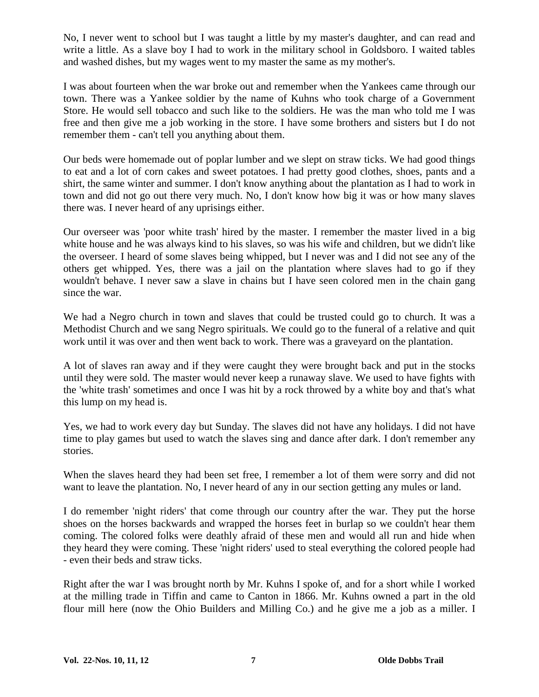No, I never went to school but I was taught a little by my master's daughter, and can read and write a little. As a slave boy I had to work in the military school in Goldsboro. I waited tables and washed dishes, but my wages went to my master the same as my mother's.

I was about fourteen when the war broke out and remember when the Yankees came through our town. There was a Yankee soldier by the name of Kuhns who took charge of a Government Store. He would sell tobacco and such like to the soldiers. He was the man who told me I was free and then give me a job working in the store. I have some brothers and sisters but I do not remember them - can't tell you anything about them.

Our beds were homemade out of poplar lumber and we slept on straw ticks. We had good things to eat and a lot of corn cakes and sweet potatoes. I had pretty good clothes, shoes, pants and a shirt, the same winter and summer. I don't know anything about the plantation as I had to work in town and did not go out there very much. No, I don't know how big it was or how many slaves there was. I never heard of any uprisings either.

Our overseer was 'poor white trash' hired by the master. I remember the master lived in a big white house and he was always kind to his slaves, so was his wife and children, but we didn't like the overseer. I heard of some slaves being whipped, but I never was and I did not see any of the others get whipped. Yes, there was a jail on the plantation where slaves had to go if they wouldn't behave. I never saw a slave in chains but I have seen colored men in the chain gang since the war.

We had a Negro church in town and slaves that could be trusted could go to church. It was a Methodist Church and we sang Negro spirituals. We could go to the funeral of a relative and quit work until it was over and then went back to work. There was a graveyard on the plantation.

A lot of slaves ran away and if they were caught they were brought back and put in the stocks until they were sold. The master would never keep a runaway slave. We used to have fights with the 'white trash' sometimes and once I was hit by a rock throwed by a white boy and that's what this lump on my head is.

Yes, we had to work every day but Sunday. The slaves did not have any holidays. I did not have time to play games but used to watch the slaves sing and dance after dark. I don't remember any stories.

When the slaves heard they had been set free, I remember a lot of them were sorry and did not want to leave the plantation. No, I never heard of any in our section getting any mules or land.

I do remember 'night riders' that come through our country after the war. They put the horse shoes on the horses backwards and wrapped the horses feet in burlap so we couldn't hear them coming. The colored folks were deathly afraid of these men and would all run and hide when they heard they were coming. These 'night riders' used to steal everything the colored people had - even their beds and straw ticks.

Right after the war I was brought north by Mr. Kuhns I spoke of, and for a short while I worked at the milling trade in Tiffin and came to Canton in 1866. Mr. Kuhns owned a part in the old flour mill here (now the Ohio Builders and Milling Co.) and he give me a job as a miller. I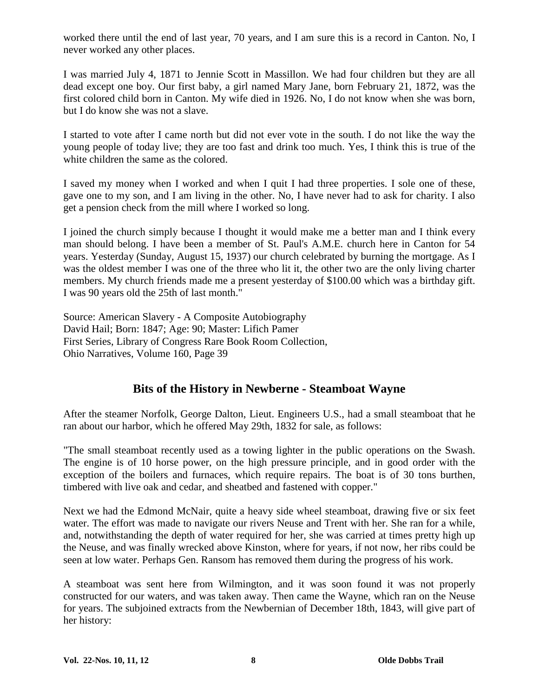worked there until the end of last year, 70 years, and I am sure this is a record in Canton. No, I never worked any other places.

I was married July 4, 1871 to Jennie Scott in Massillon. We had four children but they are all dead except one boy. Our first baby, a girl named Mary Jane, born February 21, 1872, was the first colored child born in Canton. My wife died in 1926. No, I do not know when she was born, but I do know she was not a slave.

I started to vote after I came north but did not ever vote in the south. I do not like the way the young people of today live; they are too fast and drink too much. Yes, I think this is true of the white children the same as the colored.

I saved my money when I worked and when I quit I had three properties. I sole one of these, gave one to my son, and I am living in the other. No, I have never had to ask for charity. I also get a pension check from the mill where I worked so long.

I joined the church simply because I thought it would make me a better man and I think every man should belong. I have been a member of St. Paul's A.M.E. church here in Canton for 54 years. Yesterday (Sunday, August 15, 1937) our church celebrated by burning the mortgage. As I was the oldest member I was one of the three who lit it, the other two are the only living charter members. My church friends made me a present yesterday of \$100.00 which was a birthday gift. I was 90 years old the 25th of last month."

Source: American Slavery - A Composite Autobiography David Hail; Born: 1847; Age: 90; Master: Lifich Pamer First Series, Library of Congress Rare Book Room Collection, Ohio Narratives, Volume 160, Page 39

#### **Bits of the History in Newberne - Steamboat Wayne**

After the steamer Norfolk, George Dalton, Lieut. Engineers U.S., had a small steamboat that he ran about our harbor, which he offered May 29th, 1832 for sale, as follows:

"The small steamboat recently used as a towing lighter in the public operations on the Swash. The engine is of 10 horse power, on the high pressure principle, and in good order with the exception of the boilers and furnaces, which require repairs. The boat is of 30 tons burthen, timbered with live oak and cedar, and sheatbed and fastened with copper."

Next we had the Edmond McNair, quite a heavy side wheel steamboat, drawing five or six feet water. The effort was made to navigate our rivers Neuse and Trent with her. She ran for a while, and, notwithstanding the depth of water required for her, she was carried at times pretty high up the Neuse, and was finally wrecked above Kinston, where for years, if not now, her ribs could be seen at low water. Perhaps Gen. Ransom has removed them during the progress of his work.

A steamboat was sent here from Wilmington, and it was soon found it was not properly constructed for our waters, and was taken away. Then came the Wayne, which ran on the Neuse for years. The subjoined extracts from the Newbernian of December 18th, 1843, will give part of her history: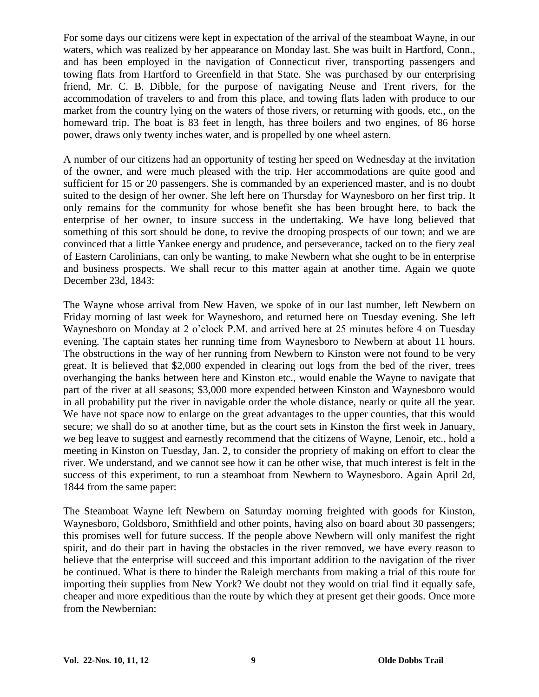For some days our citizens were kept in expectation of the arrival of the steamboat Wayne, in our waters, which was realized by her appearance on Monday last. She was built in Hartford, Conn., and has been employed in the navigation of Connecticut river, transporting passengers and towing flats from Hartford to Greenfield in that State. She was purchased by our enterprising friend, Mr. C. B. Dibble, for the purpose of navigating Neuse and Trent rivers, for the accommodation of travelers to and from this place, and towing flats laden with produce to our market from the country lying on the waters of those rivers, or returning with goods, etc., on the homeward trip. The boat is 83 feet in length, has three boilers and two engines, of 86 horse power, draws only twenty inches water, and is propelled by one wheel astern.

A number of our citizens had an opportunity of testing her speed on Wednesday at the invitation of the owner, and were much pleased with the trip. Her accommodations are quite good and sufficient for 15 or 20 passengers. She is commanded by an experienced master, and is no doubt suited to the design of her owner. She left here on Thursday for Waynesboro on her first trip. It only remains for the community for whose benefit she has been brought here, to back the enterprise of her owner, to insure success in the undertaking. We have long believed that something of this sort should be done, to revive the drooping prospects of our town; and we are convinced that a little Yankee energy and prudence, and perseverance, tacked on to the fiery zeal of Eastern Carolinians, can only be wanting, to make Newbern what she ought to be in enterprise and business prospects. We shall recur to this matter again at another time. Again we quote December 23d, 1843:

The Wayne whose arrival from New Haven, we spoke of in our last number, left Newbern on Friday morning of last week for Waynesboro, and returned here on Tuesday evening. She left Waynesboro on Monday at 2 o'clock P.M. and arrived here at 25 minutes before 4 on Tuesday evening. The captain states her running time from Waynesboro to Newbern at about 11 hours. The obstructions in the way of her running from Newbern to Kinston were not found to be very great. It is believed that \$2,000 expended in clearing out logs from the bed of the river, trees overhanging the banks between here and Kinston etc., would enable the Wayne to navigate that part of the river at all seasons; \$3,000 more expended between Kinston and Waynesboro would in all probability put the river in navigable order the whole distance, nearly or quite all the year. We have not space now to enlarge on the great advantages to the upper counties, that this would secure; we shall do so at another time, but as the court sets in Kinston the first week in January, we beg leave to suggest and earnestly recommend that the citizens of Wayne, Lenoir, etc., hold a meeting in Kinston on Tuesday, Jan. 2, to consider the propriety of making on effort to clear the river. We understand, and we cannot see how it can be other wise, that much interest is felt in the success of this experiment, to run a steamboat from Newbern to Waynesboro. Again April 2d, 1844 from the same paper:

The Steamboat Wayne left Newbern on Saturday morning freighted with goods for Kinston, Waynesboro, Goldsboro, Smithfield and other points, having also on board about 30 passengers; this promises well for future success. If the people above Newbern will only manifest the right spirit, and do their part in having the obstacles in the river removed, we have every reason to believe that the enterprise will succeed and this important addition to the navigation of the river be continued. What is there to hinder the Raleigh merchants from making a trial of this route for importing their supplies from New York? We doubt not they would on trial find it equally safe, cheaper and more expeditious than the route by which they at present get their goods. Once more from the Newbernian: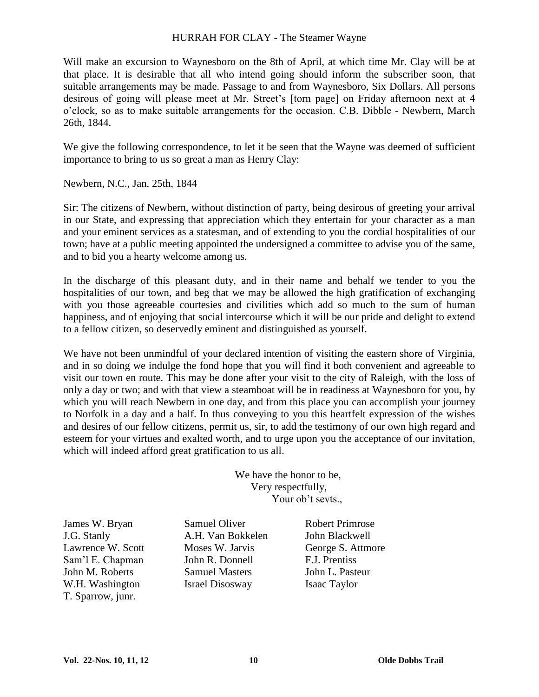#### HURRAH FOR CLAY - The Steamer Wayne

Will make an excursion to Waynesboro on the 8th of April, at which time Mr. Clay will be at that place. It is desirable that all who intend going should inform the subscriber soon, that suitable arrangements may be made. Passage to and from Waynesboro, Six Dollars. All persons desirous of going will please meet at Mr. Street's [torn page] on Friday afternoon next at 4 o'clock, so as to make suitable arrangements for the occasion. C.B. Dibble - Newbern, March 26th, 1844.

We give the following correspondence, to let it be seen that the Wayne was deemed of sufficient importance to bring to us so great a man as Henry Clay:

Newbern, N.C., Jan. 25th, 1844

Sir: The citizens of Newbern, without distinction of party, being desirous of greeting your arrival in our State, and expressing that appreciation which they entertain for your character as a man and your eminent services as a statesman, and of extending to you the cordial hospitalities of our town; have at a public meeting appointed the undersigned a committee to advise you of the same, and to bid you a hearty welcome among us.

In the discharge of this pleasant duty, and in their name and behalf we tender to you the hospitalities of our town, and beg that we may be allowed the high gratification of exchanging with you those agreeable courtesies and civilities which add so much to the sum of human happiness, and of enjoying that social intercourse which it will be our pride and delight to extend to a fellow citizen, so deservedly eminent and distinguished as yourself.

We have not been unmindful of your declared intention of visiting the eastern shore of Virginia, and in so doing we indulge the fond hope that you will find it both convenient and agreeable to visit our town en route. This may be done after your visit to the city of Raleigh, with the loss of only a day or two; and with that view a steamboat will be in readiness at Waynesboro for you, by which you will reach Newbern in one day, and from this place you can accomplish your journey to Norfolk in a day and a half. In thus conveying to you this heartfelt expression of the wishes and desires of our fellow citizens, permit us, sir, to add the testimony of our own high regard and esteem for your virtues and exalted worth, and to urge upon you the acceptance of our invitation, which will indeed afford great gratification to us all.

> We have the honor to be, Very respectfully, Your ob't sevts.,

James W. Bryan Samuel Oliver Robert Primrose T. Sparrow, junr.

J.G. Stanly A.H. Van Bokkelen John Blackwell Sam'lE.Chapman John R. Donnell F.J. Prentiss John M. Roberts Samuel Masters John L. Pasteur W.H. Washington Israel Disosway Isaac Taylor

Lawrence W. Scott Moses W. Jarvis George S. Attmore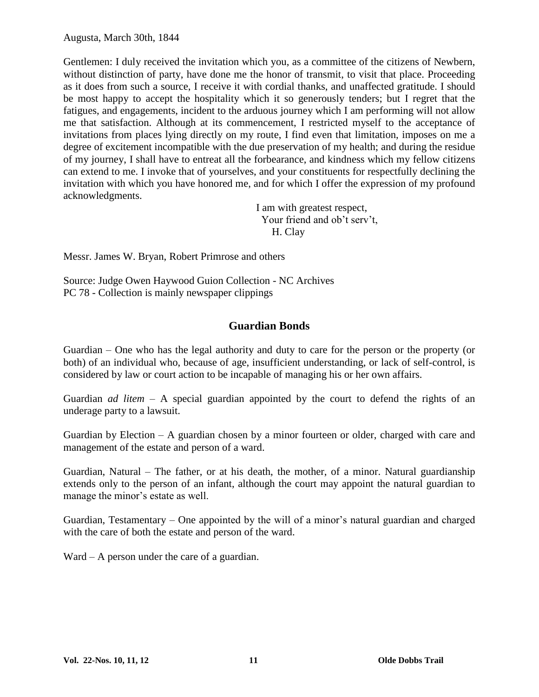Gentlemen: I duly received the invitation which you, as a committee of the citizens of Newbern, without distinction of party, have done me the honor of transmit, to visit that place. Proceeding as it does from such a source, I receive it with cordial thanks, and unaffected gratitude. I should be most happy to accept the hospitality which it so generously tenders; but I regret that the fatigues, and engagements, incident to the arduous journey which I am performing will not allow me that satisfaction. Although at its commencement, I restricted myself to the acceptance of invitations from places lying directly on my route, I find even that limitation, imposes on me a degree of excitement incompatible with the due preservation of my health; and during the residue of my journey, I shall have to entreat all the forbearance, and kindness which my fellow citizens can extend to me. I invoke that of yourselves, and your constituents for respectfully declining the invitation with which you have honored me, and for which I offer the expression of my profound acknowledgments.

> I am with greatest respect, Your friend and ob't serv't, H. Clay

Messr. James W. Bryan, Robert Primrose and others

Source: Judge Owen Haywood Guion Collection - NC Archives PC 78 - Collection is mainly newspaper clippings

#### **Guardian Bonds**

Guardian –One who has the legal authority and duty to care for the person or the property (or both) of an individual who, because of age, insufficient understanding, or lack of self-control, is considered by law or court action to be incapable of managing his or her own affairs.

Guardian *ad litem* – A special guardian appointed by the court to defend the rights of an underage party to a lawsuit.

Guardian by Election  $-$  A guardian chosen by a minor fourteen or older, charged with care and management of the estate and person of a ward.

Guardian, Natural – The father, or at his death, the mother, of a minor. Natural guardianship extends only to the person of an infant, although the court may appoint the natural guardian to manage the minor's estate as well.

Guardian, Testamentary – One appointed by the will of a minor's natural guardian and charged with the care of both the estate and person of the ward.

Ward – A person under the care of a guardian.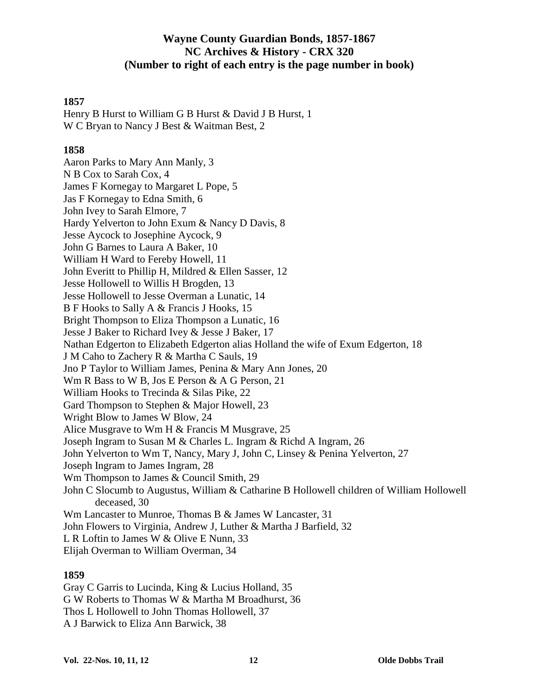#### **Wayne County Guardian Bonds, 1857-1867 NC Archives & History - CRX 320 (Number to right of each entry is the page number in book)**

#### **1857**

Henry B Hurst to William G B Hurst & David J B Hurst, 1 W C Bryan to Nancy J Best & Waitman Best, 2

#### **1858**

Aaron Parks to Mary Ann Manly, 3 N B Cox to Sarah Cox, 4 James F Kornegay to Margaret L Pope, 5 Jas F Kornegay to Edna Smith, 6 John Ivey to Sarah Elmore, 7 Hardy Yelverton to John Exum & Nancy D Davis, 8 Jesse Aycock to Josephine Aycock, 9 John G Barnes to Laura A Baker, 10 William H Ward to Fereby Howell, 11 John Everitt to Phillip H, Mildred & Ellen Sasser, 12 Jesse Hollowell to Willis H Brogden, 13 Jesse Hollowell to Jesse Overman a Lunatic, 14 B F Hooks to Sally A & Francis J Hooks, 15 Bright Thompson to Eliza Thompson a Lunatic, 16 Jesse J Baker to Richard Ivey & Jesse J Baker, 17 Nathan Edgerton to Elizabeth Edgerton alias Holland the wife of Exum Edgerton, 18 J M Caho to Zachery R & Martha C Sauls, 19 Jno P Taylor to William James, Penina & Mary Ann Jones, 20 Wm R Bass to W B, Jos E Person & A G Person, 21 William Hooks to Trecinda & Silas Pike, 22 Gard Thompson to Stephen & Major Howell, 23 Wright Blow to James W Blow, 24 Alice Musgrave to Wm H & Francis M Musgrave, 25 Joseph Ingram to Susan M & Charles L. Ingram & Richd A Ingram, 26 John Yelverton to Wm T, Nancy, Mary J, John C, Linsey & Penina Yelverton, 27 Joseph Ingram to James Ingram, 28 Wm Thompson to James & Council Smith, 29 John C Slocumb to Augustus, William & Catharine B Hollowell children of William Hollowell deceased, 30 Wm Lancaster to Munroe, Thomas B & James W Lancaster, 31 John Flowers to Virginia, Andrew J, Luther & Martha J Barfield, 32 L R Loftin to James W & Olive E Nunn, 33 Elijah Overman to William Overman, 34

#### **1859**

Gray C Garris to Lucinda, King & Lucius Holland, 35 G W Roberts to Thomas W & Martha M Broadhurst, 36 Thos L Hollowell to John Thomas Hollowell, 37 A J Barwick to Eliza Ann Barwick, 38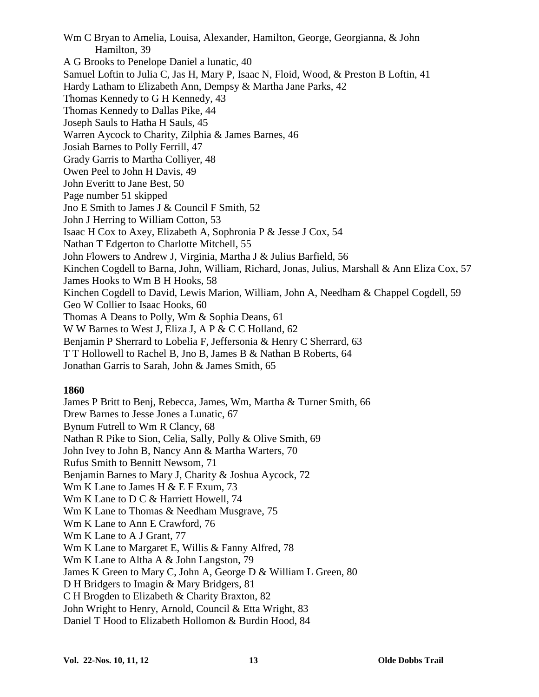Wm C Bryan to Amelia, Louisa, Alexander, Hamilton, George, Georgianna, & John Hamilton, 39 A G Brooks to Penelope Daniel a lunatic, 40 Samuel Loftin to Julia C, Jas H, Mary P, Isaac N, Floid, Wood, & Preston B Loftin, 41 Hardy Latham to Elizabeth Ann, Dempsy & Martha Jane Parks, 42 Thomas Kennedy to G H Kennedy, 43 Thomas Kennedy to Dallas Pike, 44 Joseph Sauls to Hatha H Sauls, 45 Warren Aycock to Charity, Zilphia & James Barnes, 46 Josiah Barnes to Polly Ferrill, 47 Grady Garris to Martha Colliyer, 48 Owen Peel to John H Davis, 49 John Everitt to Jane Best, 50 Page number 51 skipped Jno E Smith to James J & Council F Smith, 52 John J Herring to William Cotton, 53 Isaac H Cox to Axey, Elizabeth A, Sophronia P & Jesse J Cox, 54 Nathan T Edgerton to Charlotte Mitchell, 55 John Flowers to Andrew J, Virginia, Martha J & Julius Barfield, 56 Kinchen Cogdell to Barna, John, William, Richard, Jonas, Julius, Marshall & Ann Eliza Cox, 57 James Hooks to Wm B H Hooks, 58 Kinchen Cogdell to David, Lewis Marion, William, John A, Needham & Chappel Cogdell, 59 Geo W Collier to Isaac Hooks, 60 Thomas A Deans to Polly, Wm & Sophia Deans, 61 W W Barnes to West J, Eliza J, A P & C C Holland, 62 Benjamin P Sherrard to Lobelia F, Jeffersonia & Henry C Sherrard, 63 T T Hollowell to Rachel B, Jno B, James B & Nathan B Roberts, 64 Jonathan Garris to Sarah, John & James Smith, 65

#### **1860**

James P Britt to Benj, Rebecca, James, Wm, Martha & Turner Smith, 66 Drew Barnes to Jesse Jones a Lunatic, 67 Bynum Futrell to Wm R Clancy, 68 Nathan R Pike to Sion, Celia, Sally, Polly & Olive Smith, 69 John Ivey to John B, Nancy Ann & Martha Warters, 70 Rufus Smith to Bennitt Newsom, 71 Benjamin Barnes to Mary J, Charity & Joshua Aycock, 72 Wm K Lane to James H & E F Exum, 73 Wm K Lane to D C & Harriett Howell, 74 Wm K Lane to Thomas & Needham Musgrave, 75 Wm K Lane to Ann E Crawford, 76 Wm K Lane to A J Grant, 77 Wm K Lane to Margaret E, Willis & Fanny Alfred, 78 Wm K Lane to Altha A & John Langston, 79 James K Green to Mary C, John A, George D & William L Green, 80 D H Bridgers to Imagin & Mary Bridgers, 81 C H Brogden to Elizabeth & Charity Braxton, 82 John Wright to Henry, Arnold, Council & Etta Wright, 83 Daniel T Hood to Elizabeth Hollomon & Burdin Hood, 84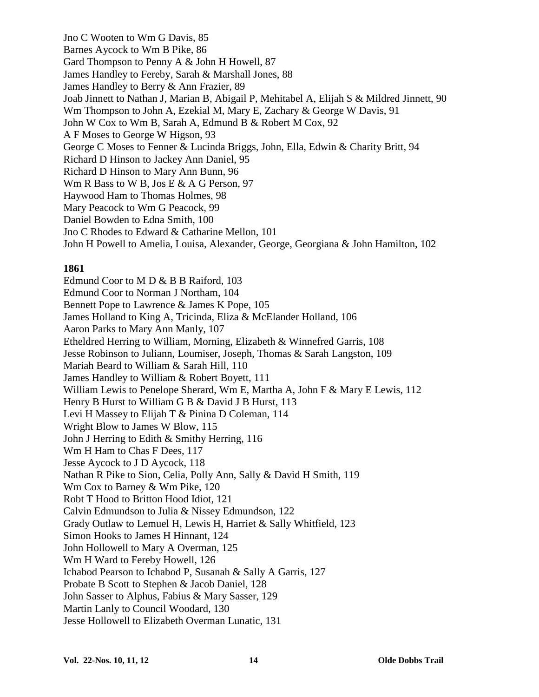Jno C Wooten to Wm G Davis, 85 Barnes Aycock to Wm B Pike, 86 Gard Thompson to Penny A & John H Howell, 87 James Handley to Fereby, Sarah & Marshall Jones, 88 James Handley to Berry & Ann Frazier, 89 Joab Jinnett to Nathan J, Marian B, Abigail P, Mehitabel A, Elijah S & Mildred Jinnett, 90 Wm Thompson to John A, Ezekial M, Mary E, Zachary & George W Davis, 91 John W Cox to Wm B, Sarah A, Edmund B & Robert M Cox, 92 A F Moses to George W Higson, 93 George C Moses to Fenner & Lucinda Briggs, John, Ella, Edwin & Charity Britt, 94 Richard D Hinson to Jackey Ann Daniel, 95 Richard D Hinson to Mary Ann Bunn, 96 Wm R Bass to W B, Jos E & A G Person, 97 Haywood Ham to Thomas Holmes, 98 Mary Peacock to Wm G Peacock, 99 Daniel Bowden to Edna Smith, 100 Jno C Rhodes to Edward & Catharine Mellon, 101 John H Powell to Amelia, Louisa, Alexander, George, Georgiana & John Hamilton, 102

#### **1861**

Edmund Coor to M D & B B Raiford, 103 Edmund Coor to Norman J Northam, 104 Bennett Pope to Lawrence & James K Pope, 105 James Holland to King A, Tricinda, Eliza & McElander Holland, 106 Aaron Parks to Mary Ann Manly, 107 Etheldred Herring to William, Morning, Elizabeth & Winnefred Garris, 108 Jesse Robinson to Juliann, Loumiser, Joseph, Thomas & Sarah Langston, 109 Mariah Beard to William & Sarah Hill, 110 James Handley to William & Robert Boyett, 111 William Lewis to Penelope Sherard, Wm E, Martha A, John F & Mary E Lewis, 112 Henry B Hurst to William G B & David J B Hurst, 113 Levi H Massey to Elijah T & Pinina D Coleman, 114 Wright Blow to James W Blow, 115 John J Herring to Edith & Smithy Herring, 116 Wm H Ham to Chas F Dees, 117 Jesse Aycock to J D Aycock, 118 Nathan R Pike to Sion, Celia, Polly Ann, Sally & David H Smith, 119 Wm Cox to Barney & Wm Pike, 120 Robt T Hood to Britton Hood Idiot, 121 Calvin Edmundson to Julia & Nissey Edmundson, 122 Grady Outlaw to Lemuel H, Lewis H, Harriet & Sally Whitfield, 123 Simon Hooks to James H Hinnant, 124 John Hollowell to Mary A Overman, 125 Wm H Ward to Fereby Howell, 126 Ichabod Pearson to Ichabod P, Susanah & Sally A Garris, 127 Probate B Scott to Stephen & Jacob Daniel, 128 John Sasser to Alphus, Fabius & Mary Sasser, 129 Martin Lanly to Council Woodard, 130 Jesse Hollowell to Elizabeth Overman Lunatic, 131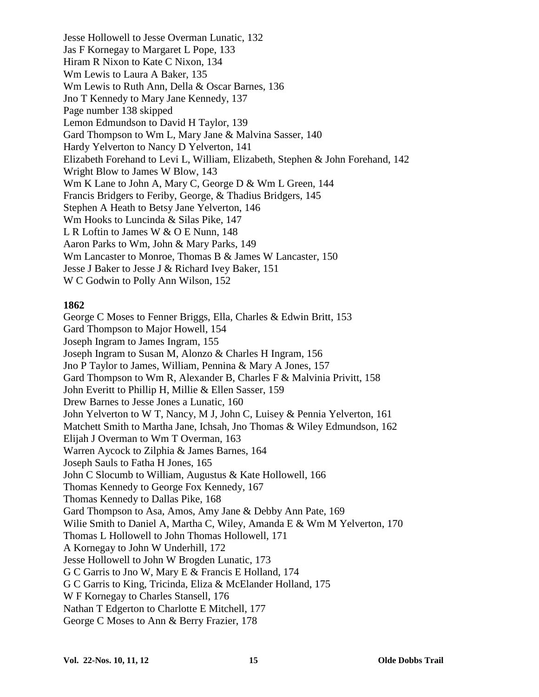Jesse Hollowell to Jesse Overman Lunatic, 132 Jas F Kornegay to Margaret L Pope, 133 Hiram R Nixon to Kate C Nixon, 134 Wm Lewis to Laura A Baker, 135 Wm Lewis to Ruth Ann, Della & Oscar Barnes, 136 Jno T Kennedy to Mary Jane Kennedy, 137 Page number 138 skipped Lemon Edmundson to David H Taylor, 139 Gard Thompson to Wm L, Mary Jane & Malvina Sasser, 140 Hardy Yelverton to Nancy D Yelverton, 141 Elizabeth Forehand to Levi L, William, Elizabeth, Stephen & John Forehand, 142 Wright Blow to James W Blow, 143 Wm K Lane to John A, Mary C, George D & Wm L Green, 144 Francis Bridgers to Feriby, George, & Thadius Bridgers, 145 Stephen A Heath to Betsy Jane Yelverton, 146 Wm Hooks to Luncinda & Silas Pike, 147 L R Loftin to James W & O E Nunn, 148 Aaron Parks to Wm, John & Mary Parks, 149 Wm Lancaster to Monroe, Thomas B & James W Lancaster, 150 Jesse J Baker to Jesse J & Richard Ivey Baker, 151 W C Godwin to Polly Ann Wilson, 152

#### **1862**

George C Moses to Fenner Briggs, Ella, Charles & Edwin Britt, 153 Gard Thompson to Major Howell, 154 Joseph Ingram to James Ingram, 155 Joseph Ingram to Susan M, Alonzo & Charles H Ingram, 156 Jno P Taylor to James, William, Pennina & Mary A Jones, 157 Gard Thompson to Wm R, Alexander B, Charles F & Malvinia Privitt, 158 John Everitt to Phillip H, Millie & Ellen Sasser, 159 Drew Barnes to Jesse Jones a Lunatic, 160 John Yelverton to W T, Nancy, M J, John C, Luisey & Pennia Yelverton, 161 Matchett Smith to Martha Jane, Ichsah, Jno Thomas & Wiley Edmundson, 162 Elijah J Overman to Wm T Overman, 163 Warren Aycock to Zilphia & James Barnes, 164 Joseph Sauls to Fatha H Jones, 165 John C Slocumb to William, Augustus & Kate Hollowell, 166 Thomas Kennedy to George Fox Kennedy, 167 Thomas Kennedy to Dallas Pike, 168 Gard Thompson to Asa, Amos, Amy Jane & Debby Ann Pate, 169 Wilie Smith to Daniel A, Martha C, Wiley, Amanda E & Wm M Yelverton, 170 Thomas L Hollowell to John Thomas Hollowell, 171 A Kornegay to John W Underhill, 172 Jesse Hollowell to John W Brogden Lunatic, 173 G C Garris to Jno W, Mary E & Francis E Holland, 174 G C Garris to King, Tricinda, Eliza & McElander Holland, 175 W F Kornegay to Charles Stansell, 176 Nathan T Edgerton to Charlotte E Mitchell, 177 George C Moses to Ann & Berry Frazier, 178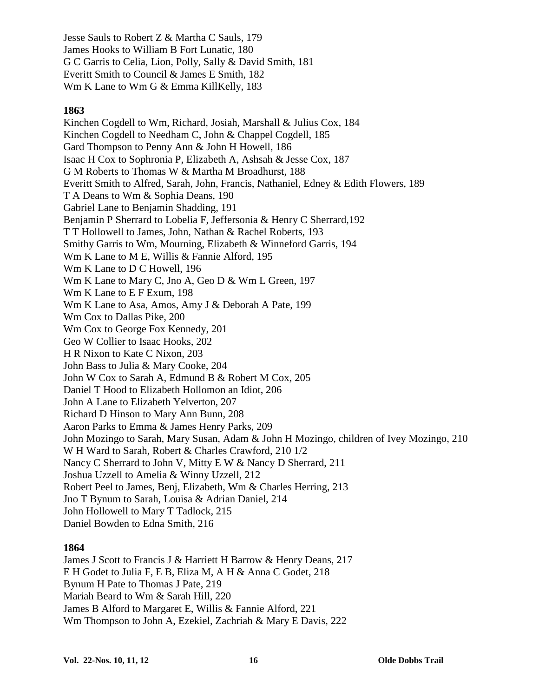Jesse Sauls to Robert Z & Martha C Sauls, 179 James Hooks to William B Fort Lunatic, 180 G C Garris to Celia, Lion, Polly, Sally & David Smith, 181 Everitt Smith to Council & James E Smith, 182 Wm K Lane to Wm G & Emma KillKelly, 183

#### **1863**

Kinchen Cogdell to Wm, Richard, Josiah, Marshall & Julius Cox, 184 Kinchen Cogdell to Needham C, John & Chappel Cogdell, 185 Gard Thompson to Penny Ann & John H Howell, 186 Isaac H Cox to Sophronia P, Elizabeth A, Ashsah & Jesse Cox, 187 G M Roberts to Thomas W & Martha M Broadhurst, 188 Everitt Smith to Alfred, Sarah, John, Francis, Nathaniel, Edney & Edith Flowers, 189 T A Deans to Wm & Sophia Deans, 190 Gabriel Lane to Benjamin Shadding, 191 Benjamin P Sherrard to Lobelia F, Jeffersonia & Henry C Sherrard,192 T T Hollowell to James, John, Nathan & Rachel Roberts, 193 Smithy Garris to Wm, Mourning, Elizabeth & Winneford Garris, 194 Wm K Lane to M E, Willis & Fannie Alford, 195 Wm K Lane to D C Howell, 196 Wm K Lane to Mary C, Jno A, Geo D & Wm L Green, 197 Wm K Lane to E F Exum, 198 Wm K Lane to Asa, Amos, Amy J & Deborah A Pate, 199 Wm Cox to Dallas Pike, 200 Wm Cox to George Fox Kennedy, 201 Geo W Collier to Isaac Hooks, 202 H R Nixon to Kate C Nixon, 203 John Bass to Julia & Mary Cooke, 204 John W Cox to Sarah A, Edmund B & Robert M Cox, 205 Daniel T Hood to Elizabeth Hollomon an Idiot, 206 John A Lane to Elizabeth Yelverton, 207 Richard D Hinson to Mary Ann Bunn, 208 Aaron Parks to Emma & James Henry Parks, 209 John Mozingo to Sarah, Mary Susan, Adam & John H Mozingo, children of Ivey Mozingo, 210 W H Ward to Sarah, Robert & Charles Crawford, 210 1/2 Nancy C Sherrard to John V, Mitty E W & Nancy D Sherrard, 211 Joshua Uzzell to Amelia & Winny Uzzell, 212 Robert Peel to James, Benj, Elizabeth, Wm & Charles Herring, 213 Jno T Bynum to Sarah, Louisa & Adrian Daniel, 214 John Hollowell to Mary T Tadlock, 215 Daniel Bowden to Edna Smith, 216

#### **1864**

James J Scott to Francis J & Harriett H Barrow & Henry Deans, 217 E H Godet to Julia F, E B, Eliza M, A H & Anna C Godet, 218 Bynum H Pate to Thomas J Pate, 219 Mariah Beard to Wm & Sarah Hill, 220 James B Alford to Margaret E, Willis & Fannie Alford, 221 Wm Thompson to John A, Ezekiel, Zachriah & Mary E Davis, 222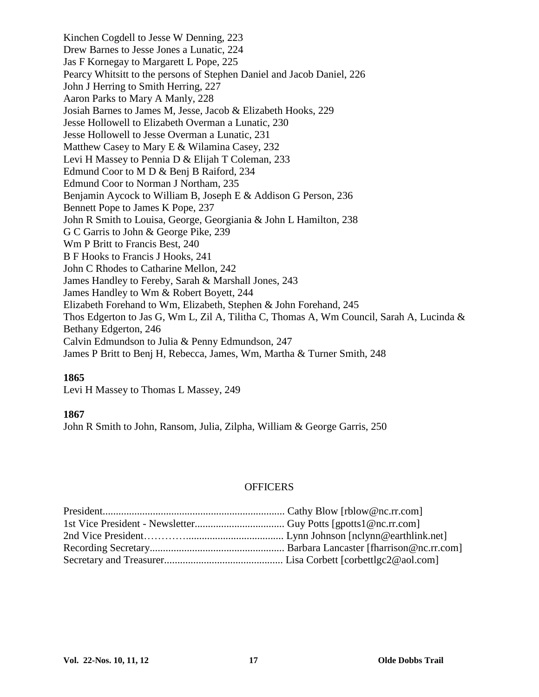Kinchen Cogdell to Jesse W Denning, 223 Drew Barnes to Jesse Jones a Lunatic, 224 Jas F Kornegay to Margarett L Pope, 225 Pearcy Whitsitt to the persons of Stephen Daniel and Jacob Daniel, 226 John J Herring to Smith Herring, 227 Aaron Parks to Mary A Manly, 228 Josiah Barnes to James M, Jesse, Jacob & Elizabeth Hooks, 229 Jesse Hollowell to Elizabeth Overman a Lunatic, 230 Jesse Hollowell to Jesse Overman a Lunatic, 231 Matthew Casey to Mary E & Wilamina Casey, 232 Levi H Massey to Pennia D & Elijah T Coleman, 233 Edmund Coor to M D & Benj B Raiford, 234 Edmund Coor to Norman J Northam, 235 Benjamin Aycock to William B, Joseph E & Addison G Person, 236 Bennett Pope to James K Pope, 237 John R Smith to Louisa, George, Georgiania & John L Hamilton, 238 G C Garris to John & George Pike, 239 Wm P Britt to Francis Best, 240 B F Hooks to Francis J Hooks, 241 John C Rhodes to Catharine Mellon, 242 James Handley to Fereby, Sarah & Marshall Jones, 243 James Handley to Wm & Robert Boyett, 244 Elizabeth Forehand to Wm, Elizabeth, Stephen & John Forehand, 245 Thos Edgerton to Jas G, Wm L, Zil A, Tilitha C, Thomas A, Wm Council, Sarah A, Lucinda & Bethany Edgerton, 246 Calvin Edmundson to Julia & Penny Edmundson, 247 James P Britt to Benj H, Rebecca, James, Wm, Martha & Turner Smith, 248

#### **1865**

Levi H Massey to Thomas L Massey, 249

#### **1867**

John R Smith to John, Ransom, Julia, Zilpha, William & George Garris, 250

#### **OFFICERS**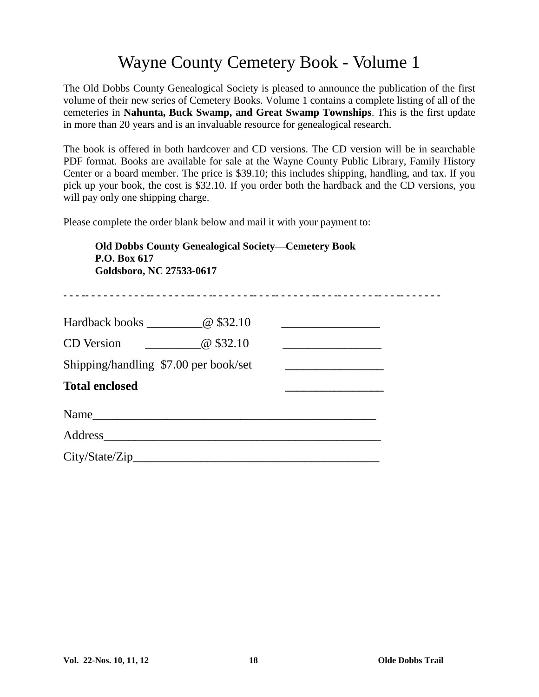## Wayne County Cemetery Book - Volume 1

The Old Dobbs County Genealogical Society is pleased to announce the publication of the first volume of their new series of Cemetery Books. Volume 1 contains a complete listing of all of the cemeteries in **Nahunta, Buck Swamp, and Great Swamp Townships**. This is the first update in more than 20 years and is an invaluable resource for genealogical research.

The book is offered in both hardcover and CD versions. The CD version will be in searchable PDF format. Books are available for sale at the Wayne County Public Library, Family History Center or a board member. The price is \$39.10; this includes shipping, handling, and tax. If you pick up your book, the cost is \$32.10. If you order both the hardback and the CD versions, you will pay only one shipping charge.

Please complete the order blank below and mail it with your payment to:

| <b>Old Dobbs County Genealogical Society-Cemetery Book</b><br>P.O. Box 617<br>Goldsboro, NC 27533-0617 |                                                                                                                          |  |  |  |
|--------------------------------------------------------------------------------------------------------|--------------------------------------------------------------------------------------------------------------------------|--|--|--|
| Hardback books ____________@ \$32.10                                                                   | <u> 1989 - Johann Stein, mars et al. (</u>                                                                               |  |  |  |
| $\omega$ \$32.10<br><b>CD</b> Version                                                                  | <u> 1980 - An Dùbhlachd ann an Dùbhlachd ann an Dùbhlachd ann an Dùbhlachd ann an Dùbhlachd ann an Dùbhlachd ann an </u> |  |  |  |
| Shipping/handling \$7.00 per book/set                                                                  |                                                                                                                          |  |  |  |
| <b>Total enclosed</b>                                                                                  |                                                                                                                          |  |  |  |
| Name                                                                                                   |                                                                                                                          |  |  |  |
|                                                                                                        |                                                                                                                          |  |  |  |
| City/State/Zip                                                                                         |                                                                                                                          |  |  |  |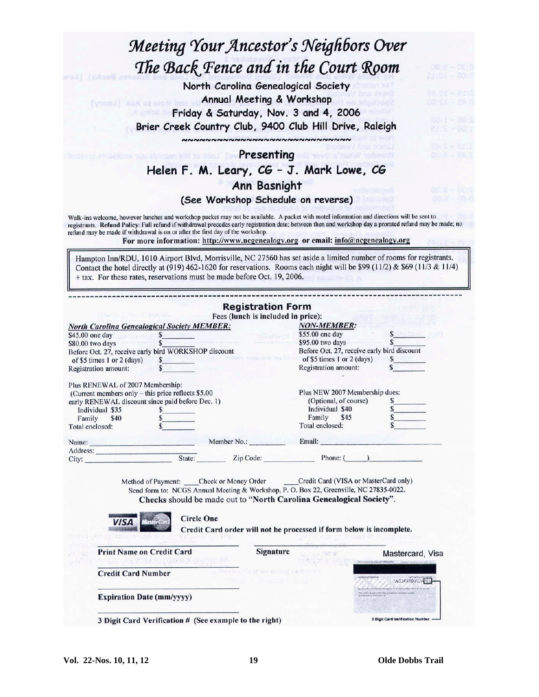## Meeting Your Ancestor's Neighbors Over The Back Fence and in the Court Room

North Carolina Genealogical Society Annual Meeting & Workshop Friday & Saturday, Nov. 3 and 4, 2006 Brier Creek Country Club, 9400 Club Hill Drive, Raleigh ~~~~~~~~~~~~~~~~~~~~~~~~~~~~~

**Presenting** 

**TOVO & PARK** 

Helen F. M. Leary, CG - J. Mark Lowe, CG

#### **Ann Basnight**

#### (See Workshop Schedule on reverse)

Walk-ins welcome, however lunches and workshop packet may not be available. A packet with motel information and directions will be sent to registrants. Refund Policy: Full refund if withdrawal precedes early registration date; between then and workshop day a prorated refund may be made; no refund may be made if withdrawal is on or after the first day of the workshop.

For more information: http://www.ncgenealogy.org or email: info@ncgenealogy.org

Hampton Inn/RDU, 1010 Airport Blvd, Morrisville, NC 27560 has set aside a limited number of rooms for registrants. Contact the hotel directly at (919) 462-1620 for reservations. Rooms each night will be \$99 (11/2) & \$69 (11/3 & 11/4) + tax. For these rates, reservations must be made before Oct. 19, 2006.

| TO CAPTER IN MIT IN MALE IN NASA                                                                                                                                                                                     |                                  | <b>Registration Form</b>              |                                                                                                                                                                                                                                                                                                                                      |                                             |  |
|----------------------------------------------------------------------------------------------------------------------------------------------------------------------------------------------------------------------|----------------------------------|---------------------------------------|--------------------------------------------------------------------------------------------------------------------------------------------------------------------------------------------------------------------------------------------------------------------------------------------------------------------------------------|---------------------------------------------|--|
|                                                                                                                                                                                                                      |                                  | Fees (lunch is included in price):    |                                                                                                                                                                                                                                                                                                                                      |                                             |  |
| <b>North Carolina Genealogical Society MEMBER:</b>                                                                                                                                                                   |                                  | <b>NON-MEMBER:</b>                    |                                                                                                                                                                                                                                                                                                                                      |                                             |  |
| \$45.00 one day                                                                                                                                                                                                      | $S_{-}$<br>$\overline{s}$        | <b>Spinetare</b><br><b>STATISTICS</b> | \$55.00 one day<br>\$95.00 two days                                                                                                                                                                                                                                                                                                  |                                             |  |
| \$80.00 two days<br>Before Oct. 27, receive early bird WORKSHOP discount<br>of \$5 times 1 or 2 (days)<br>of \$5 times 1 or 2 (days) $\frac{\$}{\$}$<br>Registration amount: $\frac{\$}{\$}$<br>Registration amount: |                                  |                                       |                                                                                                                                                                                                                                                                                                                                      |                                             |  |
|                                                                                                                                                                                                                      |                                  |                                       |                                                                                                                                                                                                                                                                                                                                      | Before Oct. 27, receive early bird discount |  |
|                                                                                                                                                                                                                      |                                  |                                       |                                                                                                                                                                                                                                                                                                                                      | s                                           |  |
|                                                                                                                                                                                                                      |                                  |                                       | Registration amount:                                                                                                                                                                                                                                                                                                                 |                                             |  |
| Plus RENEWAL of 2007 Membership:                                                                                                                                                                                     |                                  |                                       |                                                                                                                                                                                                                                                                                                                                      |                                             |  |
| (Current members only - this price reflects \$5.00)                                                                                                                                                                  |                                  |                                       | Plus NEW 2007 Membership dues:                                                                                                                                                                                                                                                                                                       |                                             |  |
| early RENEWAL discount since paid before Dec. 1)                                                                                                                                                                     |                                  |                                       | (Optional, of course)                                                                                                                                                                                                                                                                                                                | $\frac{\sqrt{2}}{2}$                        |  |
| Individual \$35                                                                                                                                                                                                      | \$.                              |                                       | Individual \$40                                                                                                                                                                                                                                                                                                                      |                                             |  |
| Family<br>\$40                                                                                                                                                                                                       |                                  |                                       | Family \$45                                                                                                                                                                                                                                                                                                                          |                                             |  |
| Total enclosed:                                                                                                                                                                                                      |                                  |                                       | Total enclosed:                                                                                                                                                                                                                                                                                                                      |                                             |  |
|                                                                                                                                                                                                                      |                                  |                                       | Name: Member No.: Email:                                                                                                                                                                                                                                                                                                             |                                             |  |
|                                                                                                                                                                                                                      |                                  |                                       |                                                                                                                                                                                                                                                                                                                                      |                                             |  |
|                                                                                                                                                                                                                      |                                  |                                       |                                                                                                                                                                                                                                                                                                                                      |                                             |  |
|                                                                                                                                                                                                                      |                                  |                                       |                                                                                                                                                                                                                                                                                                                                      |                                             |  |
| <b>Print Name on Credit Card</b>                                                                                                                                                                                     | <b>Circle One</b>                | <b>Signature</b>                      | Method of Payment: _____ Check or Money Order _______ Credit Card (VISA or MasterCard only)<br>Send form to: NCGS Annual Meeting & Workshop, P. O. Box 22, Greenville, NC 27835-0022.<br>Checks should be made out to "North Carolina Genealogical Society".<br>Credit Card order will not be processed if form below is incomplete. | Mastercard, Visa                            |  |
| <b>Credit Card Number</b><br><b>Expiration Date (mm/yyyy)</b>                                                                                                                                                        | GIS LES SHOE FILEMENT SONG IN ST |                                       | CA IX HIS HOUSE THE BLEVET                                                                                                                                                                                                                                                                                                           |                                             |  |